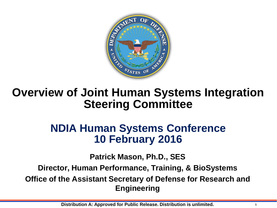

# **Overview of Joint Human Systems Integration Steering Committee**

## **NDIA Human Systems Conference 10 February 2016**

**Patrick Mason, Ph.D., SES**

**Director, Human Performance, Training, & BioSystems**

**Office of the Assistant Secretary of Defense for Research and Engineering**

**Distribution A: Approved for Public Release. Distribution is unlimited. <sup>1</sup>**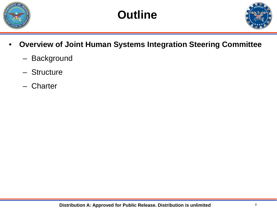

**Outline**



- **Overview of Joint Human Systems Integration Steering Committee**
	- Background
	- Structure
	- **Charter**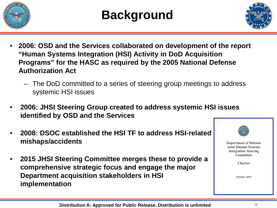



- **2006: OSD and the Services collaborated on development of the report "Human Systems Integration (HSI) Activity in DoD Acquisition Programs" for the HASC as required by the 2005 National Defense Authorization Act**
	- The DoD committed to a series of steering group meetings to address systemic HSI issues
- **2006: JHSI Steering Group created to address systemic HSI issues identified by OSD and the Services**
- **2008: DSOC established the HSI TF to address HSI-related mishaps/accidents**
- **2015 JHSI Steering Committee merges these to provide a comprehensive strategic focus and engage the major Department acquisition stakeholders in HSI implementation**

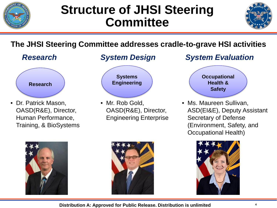

# **Structure of JHSI Steering Committee**



## **The JHSI Steering Committee addresses cradle-to-grave HSI activities**



• Dr. Patrick Mason, OASD(R&E), Director, Human Performance, Training, & BioSystems





• Mr. Rob Gold, OASD(R&E), Director, Engineering Enterprise

## *Research System Design System Evaluation*



• Ms. Maureen Sullivan, ASD(EI&E), Deputy Assistant Secretary of Defense (Environment, Safety, and Occupational Health)







**Distribution A: Approved for Public Release. Distribution is unlimited <sup>4</sup>**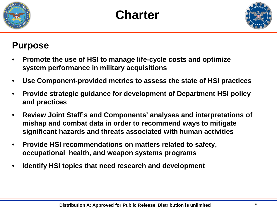

**Charter**



## **Purpose**

- **Promote the use of HSI to manage life-cycle costs and optimize system performance in military acquisitions**
- **Use Component-provided metrics to assess the state of HSI practices**
- **Provide strategic guidance for development of Department HSI policy and practices**
- **Review Joint Staff's and Components' analyses and interpretations of mishap and combat data in order to recommend ways to mitigate significant hazards and threats associated with human activities**
- **Provide HSI recommendations on matters related to safety, occupational health, and weapon systems programs**
- **Identify HSI topics that need research and development**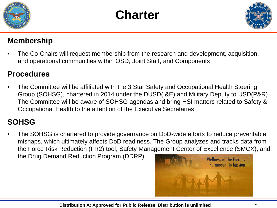





#### **Membership**

• The Co-Chairs will request membership from the research and development, acquisition, and operational communities within OSD, Joint Staff, and Components

### **Procedures**

• The Committee will be affiliated with the 3 Star Safety and Occupational Health Steering Group (SOHSG), chartered in 2014 under the DUSD(I&E) and Military Deputy to USD(P&R). The Committee will be aware of SOHSG agendas and bring HSI matters related to Safety & Occupational Health to the attention of the Executive Secretaries

### **SOHSG**

• The SOHSG is chartered to provide governance on DoD-wide efforts to reduce preventable mishaps, which ultimately affects DoD readiness. The Group analyzes and tracks data from the Force Risk Reduction (FR2) tool, Safety Management Center of Excellence (SMCX), and the Drug Demand Reduction Program (DDRP).